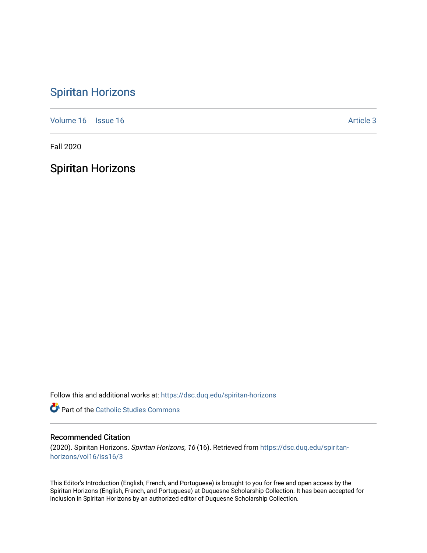## [Spiritan Horizons](https://dsc.duq.edu/spiritan-horizons)

[Volume 16](https://dsc.duq.edu/spiritan-horizons/vol16) | [Issue 16](https://dsc.duq.edu/spiritan-horizons/vol16/iss16) |  $\blacksquare$ 

Fall 2020

Spiritan Horizons

Follow this and additional works at: [https://dsc.duq.edu/spiritan-horizons](https://dsc.duq.edu/spiritan-horizons?utm_source=dsc.duq.edu%2Fspiritan-horizons%2Fvol16%2Fiss16%2F3&utm_medium=PDF&utm_campaign=PDFCoverPages)

**Part of the [Catholic Studies Commons](http://network.bepress.com/hgg/discipline/1294?utm_source=dsc.duq.edu%2Fspiritan-horizons%2Fvol16%2Fiss16%2F3&utm_medium=PDF&utm_campaign=PDFCoverPages)** 

## Recommended Citation

(2020). Spiritan Horizons. Spiritan Horizons, 16 (16). Retrieved from [https://dsc.duq.edu/spiritan](https://dsc.duq.edu/spiritan-horizons/vol16/iss16/3?utm_source=dsc.duq.edu%2Fspiritan-horizons%2Fvol16%2Fiss16%2F3&utm_medium=PDF&utm_campaign=PDFCoverPages)[horizons/vol16/iss16/3](https://dsc.duq.edu/spiritan-horizons/vol16/iss16/3?utm_source=dsc.duq.edu%2Fspiritan-horizons%2Fvol16%2Fiss16%2F3&utm_medium=PDF&utm_campaign=PDFCoverPages)

This Editor's Introduction (English, French, and Portuguese) is brought to you for free and open access by the Spiritan Horizons (English, French, and Portuguese) at Duquesne Scholarship Collection. It has been accepted for inclusion in Spiritan Horizons by an authorized editor of Duquesne Scholarship Collection.